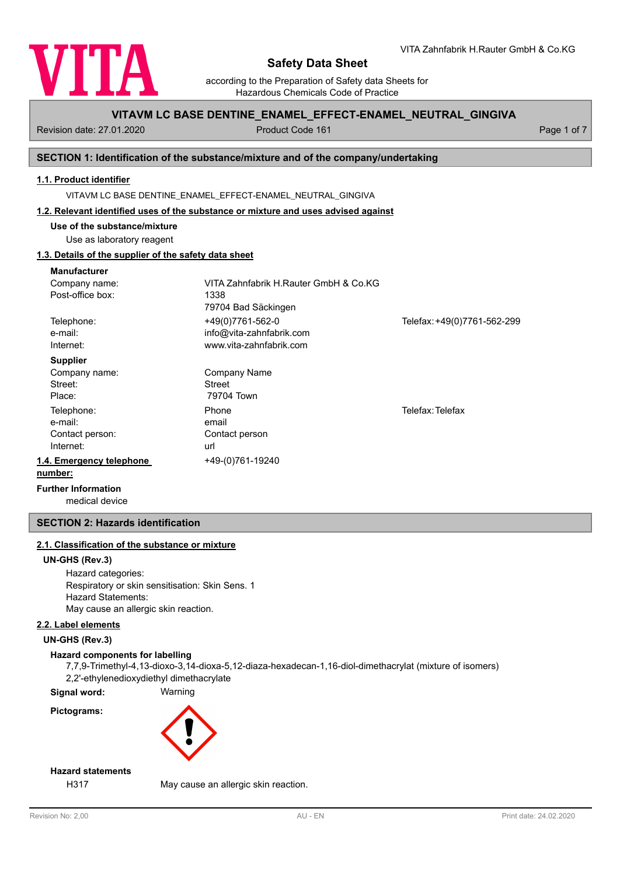

according to the Preparation of Safety data Sheets for Hazardous Chemicals Code of Practice

## **VITAVM LC BASE DENTINE\_ENAMEL\_EFFECT-ENAMEL\_NEUTRAL\_GINGIVA**

Revision date: 27.01.2020 **Product Code 161** Product Code 161 **Page 1 of 7** Page 1 of 7

### **SECTION 1: Identification of the substance/mixture and of the company/undertaking**

## **1.1. Product identifier**

VITAVM LC BASE DENTINE\_ENAMEL\_EFFECT-ENAMEL\_NEUTRAL\_GINGIVA

#### **1.2. Relevant identified uses of the substance or mixture and uses advised against**

**Use of the substance/mixture**

Use as laboratory reagent

## **1.3. Details of the supplier of the safety data sheet**

| <b>Manufacturer</b>            |                                       |                             |
|--------------------------------|---------------------------------------|-----------------------------|
| Company name:                  | VITA Zahnfabrik H.Rauter GmbH & Co.KG |                             |
| Post-office box:               | 1338                                  |                             |
|                                | 79704 Bad Säckingen                   |                             |
| Telephone:                     | +49(0)7761-562-0                      | Telefax: +49(0)7761-562-299 |
| e-mail:                        | info@vita-zahnfabrik.com              |                             |
| Internet:                      | www.vita-zahnfabrik.com               |                             |
| <b>Supplier</b>                |                                       |                             |
| Company name:                  | <b>Company Name</b>                   |                             |
| Street:                        | <b>Street</b>                         |                             |
| Place:                         | 79704 Town                            |                             |
| Telephone:                     | Phone                                 | Telefax: Telefax            |
| e-mail:                        | email                                 |                             |
| Contact person:                | Contact person                        |                             |
| Internet:                      | url                                   |                             |
| 1.4. Emergency telephone       | +49-(0)761-19240                      |                             |
| number:                        |                                       |                             |
| Estable and Indian manufacture |                                       |                             |

medical device **Further Information**

## **SECTION 2: Hazards identification**

## **2.1. Classification of the substance or mixture**

#### **UN-GHS (Rev.3)**

Hazard categories: Respiratory or skin sensitisation: Skin Sens. 1 Hazard Statements: May cause an allergic skin reaction.

### **2.2. Label elements**

**UN-GHS (Rev.3)**

## **Hazard components for labelling**

7,7,9-Trimethyl-4,13-dioxo-3,14-dioxa-5,12-diaza-hexadecan-1,16-diol-dimethacrylat (mixture of isomers) 2,2'-ethylenedioxydiethyl dimethacrylate

**Signal word:** Warning

**Pictograms:**



## **Hazard statements**

H317 May cause an allergic skin reaction.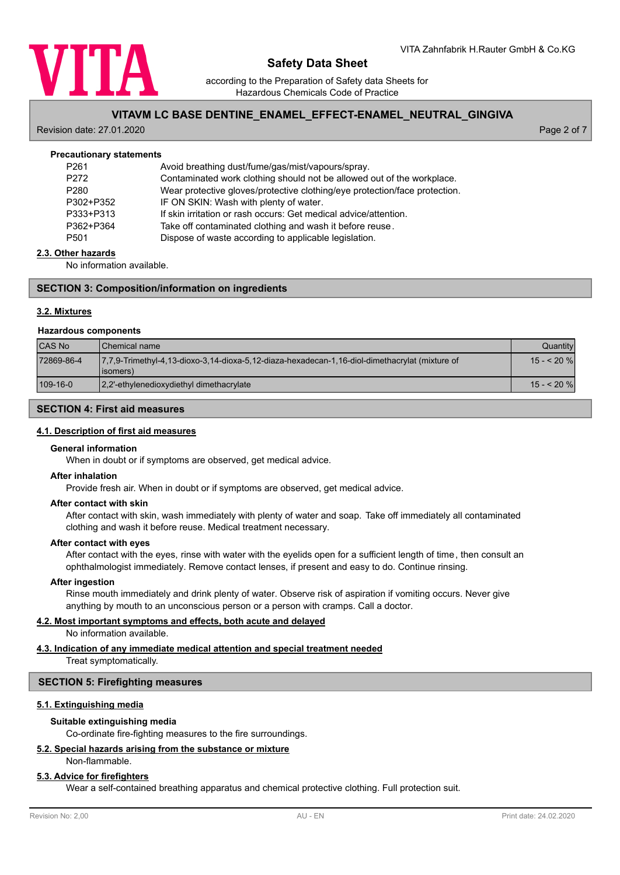

according to the Preparation of Safety data Sheets for Hazardous Chemicals Code of Practice

## **VITAVM LC BASE DENTINE\_ENAMEL\_EFFECT-ENAMEL\_NEUTRAL\_GINGIVA**

Revision date: 27.01.2020 Page 2 of 7

| <b>Precautionary statements</b> |                                                                            |
|---------------------------------|----------------------------------------------------------------------------|
| P <sub>261</sub>                | Avoid breathing dust/fume/gas/mist/vapours/spray.                          |
| P <sub>272</sub>                | Contaminated work clothing should not be allowed out of the workplace.     |
| P <sub>280</sub>                | Wear protective gloves/protective clothing/eye protection/face protection. |
| P302+P352                       | IF ON SKIN: Wash with plenty of water.                                     |
| P333+P313                       | If skin irritation or rash occurs: Get medical advice/attention.           |
| P362+P364                       | Take off contaminated clothing and wash it before reuse.                   |
| P <sub>501</sub>                | Dispose of waste according to applicable legislation.                      |
|                                 |                                                                            |

#### **2.3. Other hazards**

No information available.

#### **SECTION 3: Composition/information on ingredients**

#### **3.2. Mixtures**

#### **Hazardous components**

| <b>CAS No</b> | <b>I</b> Chemical name                                                                                       | Quantityl   |
|---------------|--------------------------------------------------------------------------------------------------------------|-------------|
| 72869-86-4    | 7.7.9-Trimethyl-4.13-dioxo-3.14-dioxa-5.12-diaza-hexadecan-1.16-diol-dimethacrylat (mixture of<br>(lisomers) | $15 - 20$ % |
| 109-16-0      | [2,2'-ethylenedioxydiethyl dimethacrylate]                                                                   | $15 - 20$ % |

## **SECTION 4: First aid measures**

#### **4.1. Description of first aid measures**

#### **General information**

When in doubt or if symptoms are observed, get medical advice.

#### **After inhalation**

Provide fresh air. When in doubt or if symptoms are observed, get medical advice.

#### **After contact with skin**

After contact with skin, wash immediately with plenty of water and soap. Take off immediately all contaminated clothing and wash it before reuse. Medical treatment necessary.

#### **After contact with eyes**

After contact with the eyes, rinse with water with the eyelids open for a sufficient length of time, then consult an ophthalmologist immediately. Remove contact lenses, if present and easy to do. Continue rinsing.

#### **After ingestion**

Rinse mouth immediately and drink plenty of water. Observe risk of aspiration if vomiting occurs. Never give anything by mouth to an unconscious person or a person with cramps. Call a doctor.

#### **4.2. Most important symptoms and effects, both acute and delayed**

No information available.

## **4.3. Indication of any immediate medical attention and special treatment needed**

Treat symptomatically.

#### **SECTION 5: Firefighting measures**

### **5.1. Extinguishing media**

#### **Suitable extinguishing media**

Co-ordinate fire-fighting measures to the fire surroundings.

### **5.2. Special hazards arising from the substance or mixture**

#### Non-flammable.

#### **5.3. Advice for firefighters**

Wear a self-contained breathing apparatus and chemical protective clothing. Full protection suit.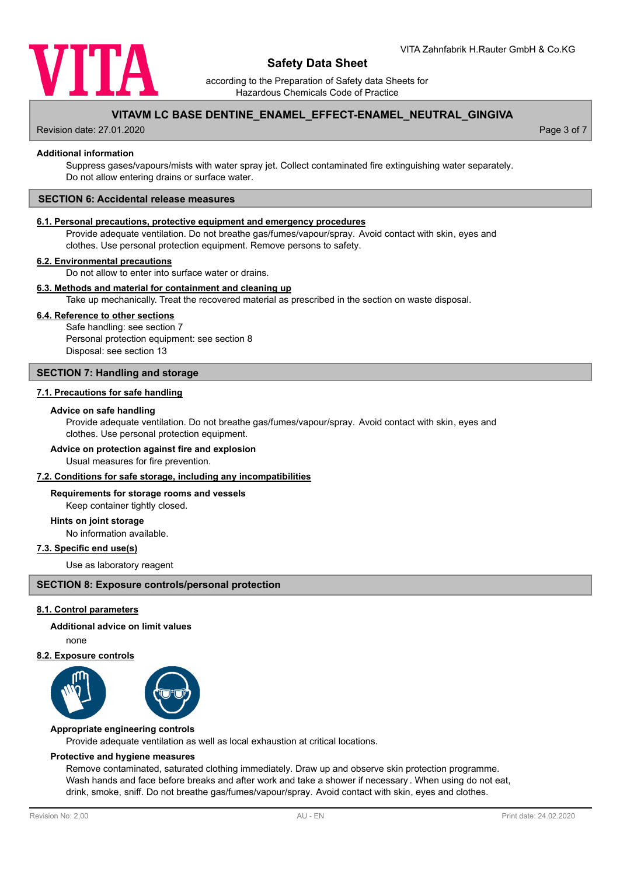

according to the Preparation of Safety data Sheets for Hazardous Chemicals Code of Practice

## **VITAVM LC BASE DENTINE\_ENAMEL\_EFFECT-ENAMEL\_NEUTRAL\_GINGIVA**

Revision date: 27.01.2020 Page 3 of 7

#### **Additional information**

Suppress gases/vapours/mists with water spray jet. Collect contaminated fire extinguishing water separately. Do not allow entering drains or surface water.

#### **SECTION 6: Accidental release measures**

#### **6.1. Personal precautions, protective equipment and emergency procedures**

Provide adequate ventilation. Do not breathe gas/fumes/vapour/spray. Avoid contact with skin, eyes and clothes. Use personal protection equipment. Remove persons to safety.

#### **6.2. Environmental precautions**

Do not allow to enter into surface water or drains.

#### **6.3. Methods and material for containment and cleaning up**

Take up mechanically. Treat the recovered material as prescribed in the section on waste disposal.

#### **6.4. Reference to other sections**

Safe handling: see section 7 Personal protection equipment: see section 8 Disposal: see section 13

#### **SECTION 7: Handling and storage**

#### **7.1. Precautions for safe handling**

#### **Advice on safe handling**

Provide adequate ventilation. Do not breathe gas/fumes/vapour/spray. Avoid contact with skin, eyes and clothes. Use personal protection equipment.

#### **Advice on protection against fire and explosion**

Usual measures for fire prevention.

### **7.2. Conditions for safe storage, including any incompatibilities**

#### **Requirements for storage rooms and vessels**

Keep container tightly closed.

#### **Hints on joint storage**

No information available.

#### **7.3. Specific end use(s)**

Use as laboratory reagent

#### **SECTION 8: Exposure controls/personal protection**

#### **8.1. Control parameters**

**Additional advice on limit values**

none

#### **8.2. Exposure controls**





Provide adequate ventilation as well as local exhaustion at critical locations. **Appropriate engineering controls**

#### **Protective and hygiene measures**

Remove contaminated, saturated clothing immediately. Draw up and observe skin protection programme. Wash hands and face before breaks and after work and take a shower if necessary . When using do not eat, drink, smoke, sniff. Do not breathe gas/fumes/vapour/spray. Avoid contact with skin, eyes and clothes.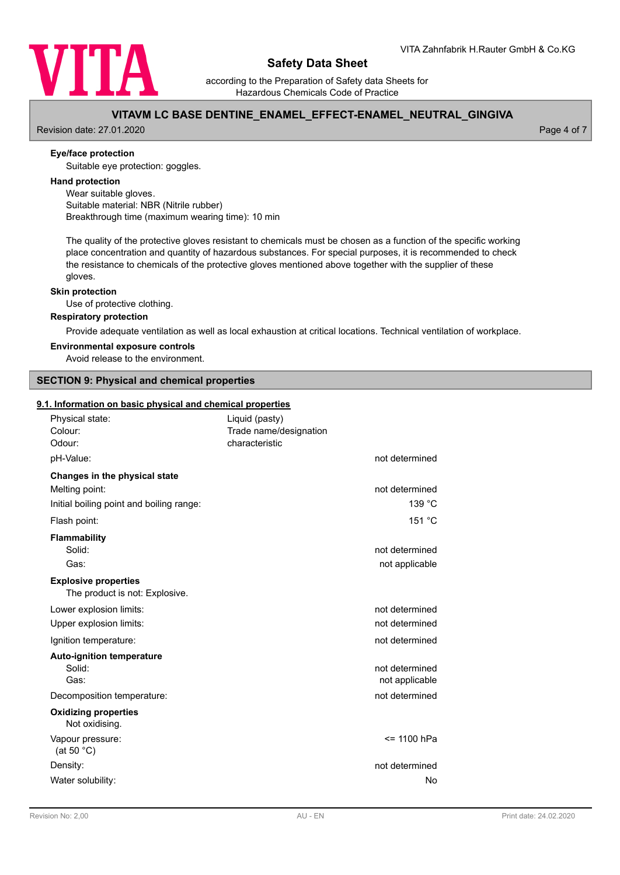

according to the Preparation of Safety data Sheets for Hazardous Chemicals Code of Practice

## **VITAVM LC BASE DENTINE\_ENAMEL\_EFFECT-ENAMEL\_NEUTRAL\_GINGIVA**

Revision date: 27.01.2020 **Page 4 of 7** No. 2020 **Page 4 of 7** No. 2020 **Page 4 of 7** No. 2020

#### **Eye/face protection**

Suitable eye protection: goggles.

#### **Hand protection**

Wear suitable gloves. Suitable material: NBR (Nitrile rubber) Breakthrough time (maximum wearing time): 10 min

The quality of the protective gloves resistant to chemicals must be chosen as a function of the specific working place concentration and quantity of hazardous substances. For special purposes, it is recommended to check the resistance to chemicals of the protective gloves mentioned above together with the supplier of these gloves.

#### **Skin protection**

Use of protective clothing.

#### **Respiratory protection**

Provide adequate ventilation as well as local exhaustion at critical locations. Technical ventilation of workplace.

#### **Environmental exposure controls**

Avoid release to the environment.

## **SECTION 9: Physical and chemical properties**

#### **9.1. Information on basic physical and chemical properties**

| Physical state:<br>Colour:<br>Odour:                          | Liquid (pasty)<br>Trade name/designation<br>characteristic |                |
|---------------------------------------------------------------|------------------------------------------------------------|----------------|
| pH-Value:                                                     |                                                            | not determined |
| Changes in the physical state                                 |                                                            |                |
| Melting point:                                                |                                                            | not determined |
| Initial boiling point and boiling range:                      |                                                            | 139 °C         |
| Flash point:                                                  |                                                            | 151 °C         |
| Flammability                                                  |                                                            |                |
| Solid:                                                        |                                                            | not determined |
| Gas:                                                          |                                                            | not applicable |
| <b>Explosive properties</b><br>The product is not: Explosive. |                                                            |                |
| Lower explosion limits:                                       |                                                            | not determined |
| Upper explosion limits:                                       |                                                            | not determined |
| Ignition temperature:                                         |                                                            | not determined |
| <b>Auto-ignition temperature</b>                              |                                                            |                |
| Solid:                                                        |                                                            | not determined |
| Gas:                                                          |                                                            | not applicable |
| Decomposition temperature:                                    |                                                            | not determined |
| <b>Oxidizing properties</b><br>Not oxidising.                 |                                                            |                |
| Vapour pressure:<br>(at 50 $°C$ )                             |                                                            | <= 1100 hPa    |
| Density:                                                      |                                                            | not determined |
| Water solubility:                                             |                                                            | No             |
|                                                               |                                                            |                |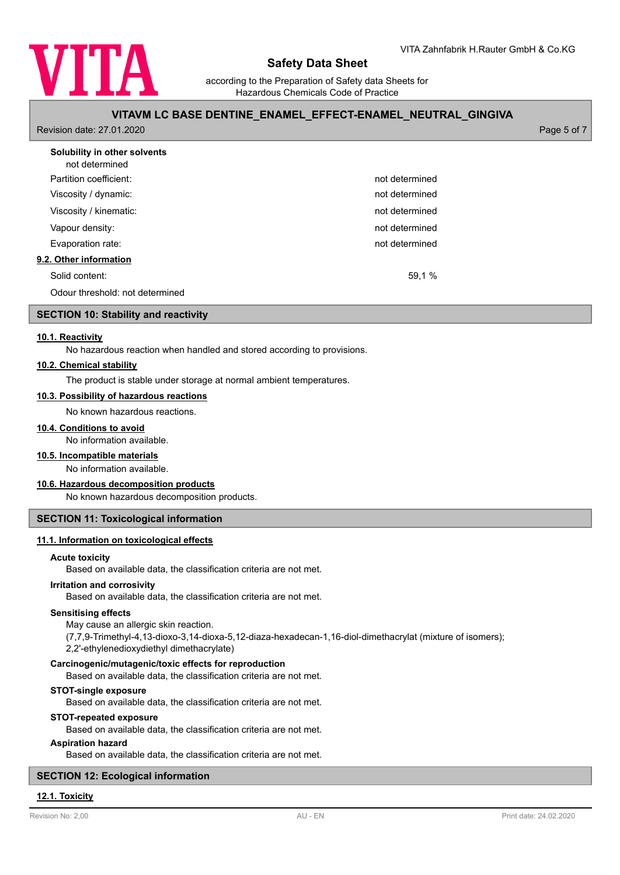

according to the Preparation of Safety data Sheets for Hazardous Chemicals Code of Practice

## **VITAVM LC BASE DENTINE\_ENAMEL\_EFFECT-ENAMEL\_NEUTRAL\_GINGIVA**

Revision date: 27.01.2020 Page 5 of 7

| Solubility in other solvents<br>not determined |                |
|------------------------------------------------|----------------|
| Partition coefficient:                         | not determined |
| Viscosity / dynamic:                           | not determined |
| Viscosity / kinematic:                         | not determined |
| Vapour density:                                | not determined |
| Evaporation rate:                              | not determined |
| 9.2. Other information                         |                |
| Solid content:                                 | 59,1 %         |
| Odour threshold: not determined                |                |

#### **SECTION 10: Stability and reactivity**

#### **10.1. Reactivity**

No hazardous reaction when handled and stored according to provisions.

#### **10.2. Chemical stability**

The product is stable under storage at normal ambient temperatures.

#### **10.3. Possibility of hazardous reactions**

No known hazardous reactions.

#### **10.4. Conditions to avoid**

No information available.

### **10.5. Incompatible materials**

No information available.

#### **10.6. Hazardous decomposition products**

No known hazardous decomposition products.

#### **SECTION 11: Toxicological information**

#### **11.1. Information on toxicological effects**

#### **Acute toxicity**

Based on available data, the classification criteria are not met.

#### **Irritation and corrosivity**

Based on available data, the classification criteria are not met.

#### **Sensitising effects**

May cause an allergic skin reaction.

(7,7,9-Trimethyl-4,13-dioxo-3,14-dioxa-5,12-diaza-hexadecan-1,16-diol-dimethacrylat (mixture of isomers);

2,2'-ethylenedioxydiethyl dimethacrylate)

#### **Carcinogenic/mutagenic/toxic effects for reproduction**

Based on available data, the classification criteria are not met.

### **STOT-single exposure**

Based on available data, the classification criteria are not met.

#### **STOT-repeated exposure**

Based on available data, the classification criteria are not met.

#### **Aspiration hazard**

Based on available data, the classification criteria are not met.

#### **SECTION 12: Ecological information**

#### **12.1. Toxicity**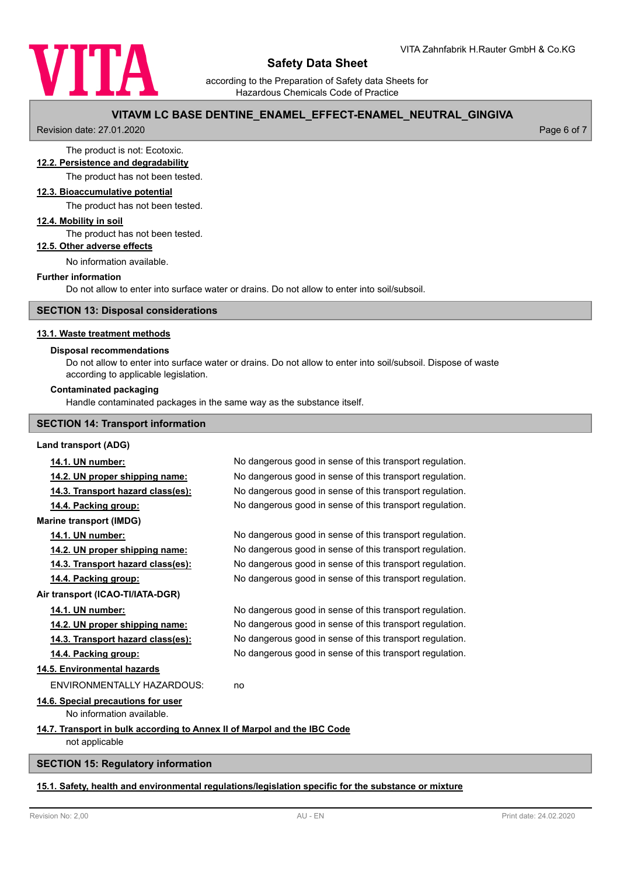

according to the Preparation of Safety data Sheets for Hazardous Chemicals Code of Practice

## **VITAVM LC BASE DENTINE\_ENAMEL\_EFFECT-ENAMEL\_NEUTRAL\_GINGIVA**

Revision date: 27.01.2020 Page 6 of 7

# The product is not: Ecotoxic.

# **12.2. Persistence and degradability**

The product has not been tested.

## **12.3. Bioaccumulative potential**

The product has not been tested.

#### **12.4. Mobility in soil**

The product has not been tested.

### **12.5. Other adverse effects**

No information available.

#### **Further information**

Do not allow to enter into surface water or drains. Do not allow to enter into soil/subsoil.

## **SECTION 13: Disposal considerations**

#### **13.1. Waste treatment methods**

#### **Disposal recommendations**

Do not allow to enter into surface water or drains. Do not allow to enter into soil/subsoil. Dispose of waste according to applicable legislation.

#### **Contaminated packaging**

Handle contaminated packages in the same way as the substance itself.

### **SECTION 14: Transport information**

#### **Land transport (ADG)**

| 14.1. UN number:                                                         | No dangerous good in sense of this transport regulation. |
|--------------------------------------------------------------------------|----------------------------------------------------------|
| 14.2. UN proper shipping name:                                           | No dangerous good in sense of this transport regulation. |
| 14.3. Transport hazard class(es):                                        | No dangerous good in sense of this transport regulation. |
| 14.4. Packing group:                                                     | No dangerous good in sense of this transport regulation. |
| <b>Marine transport (IMDG)</b>                                           |                                                          |
| 14.1. UN number:                                                         | No dangerous good in sense of this transport regulation. |
| 14.2. UN proper shipping name:                                           | No dangerous good in sense of this transport regulation. |
| 14.3. Transport hazard class(es):                                        | No dangerous good in sense of this transport regulation. |
| 14.4. Packing group:                                                     | No dangerous good in sense of this transport regulation. |
| Air transport (ICAO-TI/IATA-DGR)                                         |                                                          |
| 14.1. UN number:                                                         | No dangerous good in sense of this transport regulation. |
| 14.2. UN proper shipping name:                                           | No dangerous good in sense of this transport regulation. |
| 14.3. Transport hazard class(es):                                        | No dangerous good in sense of this transport regulation. |
| 14.4. Packing group:                                                     | No dangerous good in sense of this transport regulation. |
| 14.5. Environmental hazards                                              |                                                          |
| <b>ENVIRONMENTALLY HAZARDOUS:</b>                                        | no                                                       |
| 14.6. Special precautions for user                                       |                                                          |
| No information available.                                                |                                                          |
| 14.7. Transport in bulk according to Annex II of Marpol and the IBC Code |                                                          |
| not applicable                                                           |                                                          |
|                                                                          |                                                          |

#### **SECTION 15: Regulatory information**

#### **15.1. Safety, health and environmental regulations/legislation specific for the substance or mixture**